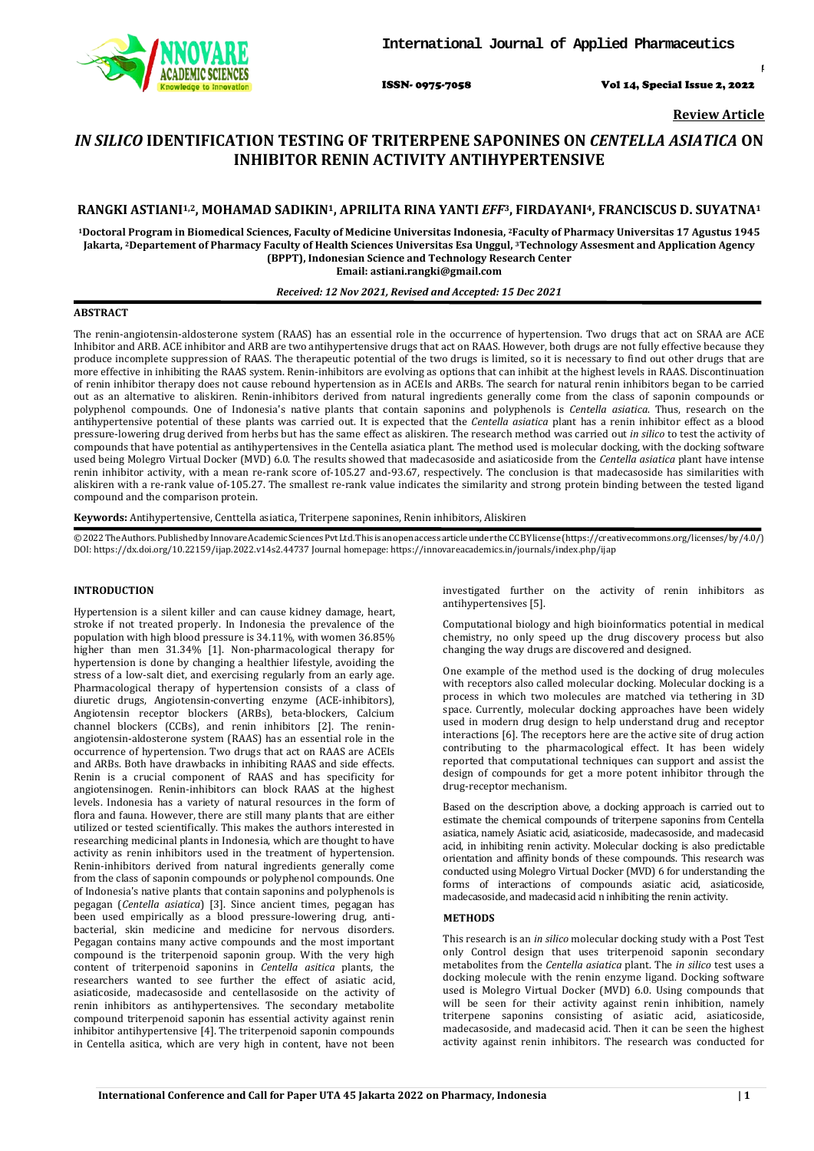

ISSN- 0975-7058 Vol 14, Special Issue 2, 2022

*Int J App Pharm, Vol 14, Special Issue 2, 2022, 1-4*

**Review Article**

# *IN SILICO* **IDENTIFICATION TESTING OF TRITERPENE SAPONINES ON** *CENTELLA ASIATICA* **ON INHIBITOR RENIN ACTIVITY ANTIHYPERTENSIVE**

## **RANGKI ASTIANI1,2, MOHAMAD SADIKIN1, APRILITA RINA YANTI** *EFF***3, FIRDAYANI4, FRANCISCUS D. SUYATNA1**

**1Doctoral Program in Biomedical Sciences, Faculty of Medicine Universitas Indonesia, 2Faculty of Pharmacy Universitas 17 Agustus 1945 Jakarta, 2Departement of Pharmacy Faculty of Health Sciences Universitas Esa Unggul, 3Technology Assesment and Application Agency (BPPT), Indonesian Science and Technology Research Center Email: astiani.rangki@gmail.com**

## *Received: 12 Nov 2021, Revised and Accepted: 15 Dec 2021*

#### **ABSTRACT**

The renin-angiotensin-aldosterone system (RAAS) has an essential role in the occurrence of hypertension. Two drugs that act on SRAA are ACE Inhibitor and ARB. ACE inhibitor and ARB are two antihypertensive drugs that act on RAAS. However, both drugs are not fully effective because they produce incomplete suppression of RAAS. The therapeutic potential of the two drugs is limited, so it is necessary to find out other drugs that are more effective in inhibiting the RAAS system. Renin-inhibitors are evolving as options that can inhibit at the highest levels in RAAS. Discontinuation of renin inhibitor therapy does not cause rebound hypertension as in ACEIs and ARBs. The search for natural renin inhibitors began to be carried out as an alternative to aliskiren. Renin-inhibitors derived from natural ingredients generally come from the class of saponin compounds or polyphenol compounds. One of Indonesia's native plants that contain saponins and polyphenols is *Centella asiatica*. Thus, research on the antihypertensive potential of these plants was carried out. It is expected that the *Centella asiatica* plant has a renin inhibitor effect as a blood pressure-lowering drug derived from herbs but has the same effect as aliskiren. The research method was carried out *in silico* to test the activity of compounds that have potential as antihypertensives in the Centella asiatica plant. The method used is molecular docking, with the docking software used being Molegro Virtual Docker (MVD) 6.0. The results showed that madecasoside and asiaticoside from the *Centella asiatica* plant have intense renin inhibitor activity, with a mean re-rank score of-105.27 and-93.67, respectively. The conclusion is that madecasoside has similarities with aliskiren with a re-rank value of-105.27. The smallest re-rank value indicates the similarity and strong protein binding between the tested ligand compound and the comparison protein.

**Keywords:** Antihypertensive, Centtella asiatica, Triterpene saponines, Renin inhibitors, Aliskiren

©2022TheAuthors.PublishedbyInnovareAcademicSciencesPvtLtd.Thisisanopenaccessarticleunder theCCBYlicense(https://creati[vecommons.o](http://creativecommons/)rg/licenses/by/4.0/) DOI: [https://dx.doi.org/10.22159/ijap.2022.v14s2.4](https://dx.doi.org/10.22159/ijap.2022.v14s2)4737 Journal homepage[: https://innovareacademics.in/journals/index.php/ijap](https://innovareacademics.in/journals/index.php/ijap)

#### **INTRODUCTION**

Hypertension is a silent killer and can cause kidney damage, heart, stroke if not treated properly. In Indonesia the prevalence of the population with high blood pressure is 34.11%, with women 36.85% higher than men 31.34% [1]. Non-pharmacological therapy for hypertension is done by changing a healthier lifestyle, avoiding the stress of a low-salt diet, and exercising regularly from an early age. Pharmacological therapy of hypertension consists of a class of diuretic drugs, Angiotensin-converting enzyme (ACE-inhibitors), Angiotensin receptor blockers (ARBs), beta-blockers, Calcium channel blockers (CCBs), and renin inhibitors [2]. The reninangiotensin-aldosterone system (RAAS) has an essential role in the occurrence of hypertension. Two drugs that act on RAAS are ACEIs and ARBs. Both have drawbacks in inhibiting RAAS and side effects. Renin is a crucial component of RAAS and has specificity for angiotensinogen. Renin-inhibitors can block RAAS at the highest levels. Indonesia has a variety of natural resources in the form of flora and fauna. However, there are still many plants that are either utilized or tested scientifically. This makes the authors interested in researching medicinal plants in Indonesia, which are thought to have activity as renin inhibitors used in the treatment of hypertension. Renin-inhibitors derived from natural ingredients generally come from the class of saponin compounds or polyphenol compounds. One of Indonesia's native plants that contain saponins and polyphenols is pegagan (*Centella asiatica*) [3]. Since ancient times, pegagan has been used empirically as a blood pressure-lowering drug, antibacterial, skin medicine and medicine for nervous disorders. Pegagan contains many active compounds and the most important compound is the triterpenoid saponin group. With the very high content of triterpenoid saponins in *Centella asitica* plants, the researchers wanted to see further the effect of asiatic acid, asiaticoside, madecasoside and centellasoside on the activity of renin inhibitors as antihypertensives. The secondary metabolite compound triterpenoid saponin has essential activity against renin inhibitor antihypertensive [4]. The triterpenoid saponin compounds in Centella asitica, which are very high in content, have not been

investigated further on the activity of renin inhibitors as antihypertensives [5].

Computational biology and high bioinformatics potential in medical chemistry, no only speed up the drug discovery process but also changing the way drugs are discovered and designed.

One example of the method used is the docking of drug molecules with receptors also called molecular docking. Molecular docking is a process in which two molecules are matched via tethering in 3D space. Currently, molecular docking approaches have been widely used in modern drug design to help understand drug and receptor interactions [6]. The receptors here are the active site of drug action contributing to the pharmacological effect. It has been widely reported that computational techniques can support and assist the design of compounds for get a more potent inhibitor through the drug-receptor mechanism.

Based on the description above, a docking approach is carried out to estimate the chemical compounds of triterpene saponins from Centella asiatica, namely Asiatic acid, asiaticoside, madecasoside, and madecasid acid, in inhibiting renin activity. Molecular docking is also predictable orientation and affinity bonds of these compounds. This research was conducted using Molegro Virtual Docker (MVD) 6 for understanding the forms of interactions of compounds asiatic acid, asiaticoside, madecasoside, and madecasid acid n inhibiting the renin activity.

#### **METHODS**

This research is an *in silico* molecular docking study with a Post Test only Control design that uses triterpenoid saponin secondary metabolites from the *Centella asiatica* plant. The *in silico* test uses a docking molecule with the renin enzyme ligand. Docking software used is Molegro Virtual Docker (MVD) 6.0. Using compounds that will be seen for their activity against renin inhibition, namely triterpene saponins consisting of asiatic acid, asiaticoside, madecasoside, and madecasid acid. Then it can be seen the highest activity against renin inhibitors. The research was conducted for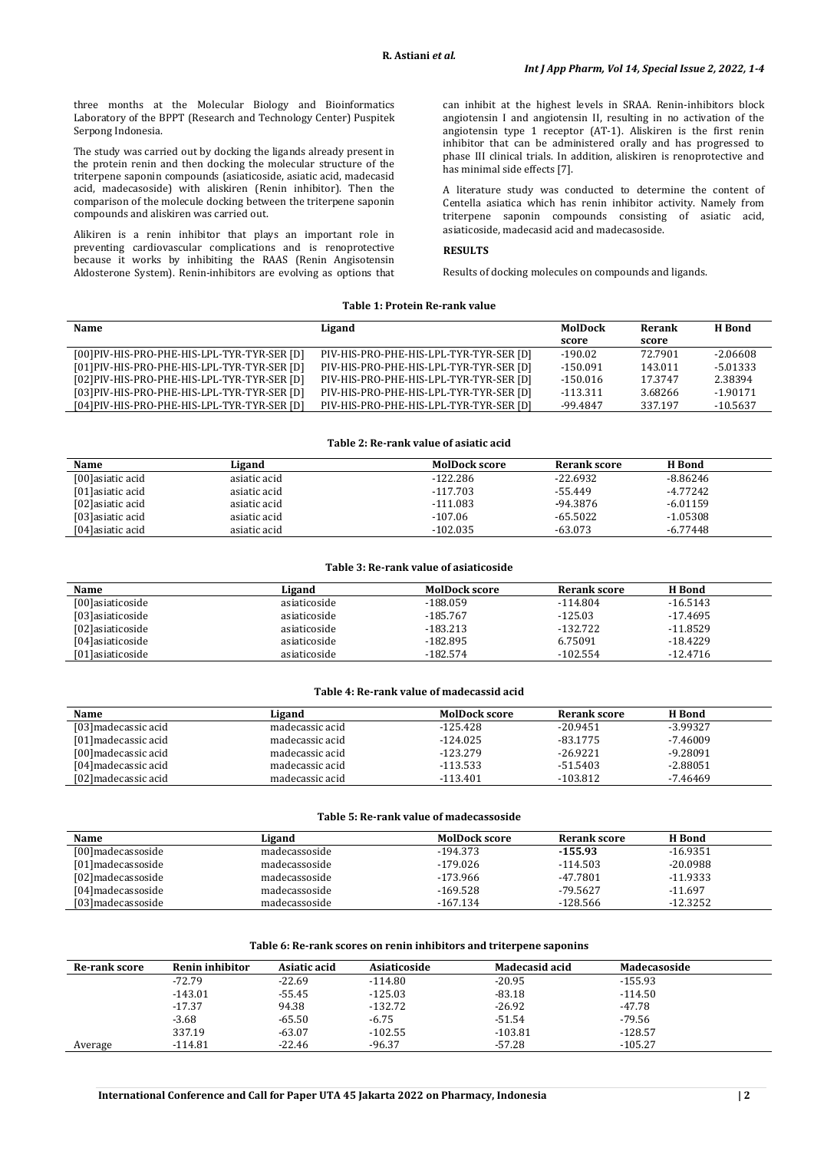three months at the Molecular Biology and Bioinformatics Laboratory of the BPPT (Research and Technology Center) Puspitek Serpong Indonesia.

The study was carried out by docking the ligands already present in the protein renin and then docking the molecular structure of the triterpene saponin compounds (asiaticoside, asiatic acid, madecasid acid, madecasoside) with aliskiren (Renin inhibitor). Then the comparison of the molecule docking between the triterpene saponin compounds and aliskiren was carried out.

Alikiren is a renin inhibitor that plays an important role in preventing cardiovascular complications and is renoprotective because it works by inhibiting the RAAS (Renin Angisotensin Aldosterone System). Renin-inhibitors are evolving as options that

can inhibit at the highest levels in SRAA. Renin-inhibitors block angiotensin I and angiotensin II, resulting in no activation of the angiotensin type 1 receptor (AT-1). Aliskiren is the first renin inhibitor that can be administered orally and has progressed to phase III clinical trials. In addition, aliskiren is renoprotective and has minimal side effects [7].

A literature study was conducted to determine the content of Centella asiatica which has renin inhibitor activity. Namely from triterpene saponin compounds consisting of asiatic acid, asiaticoside, madecasid acid and madecasoside.

#### **RESULTS**

Results of docking molecules on compounds and ligands.

#### **Table 1: Protein Re-rank value**

| Name                                         | Ligand                                  | MolDock    | Rerank  | H Bond     |
|----------------------------------------------|-----------------------------------------|------------|---------|------------|
|                                              |                                         | score      | score   |            |
| [00] PIV-HIS-PRO-PHE-HIS-LPL-TYR-TYR-SER [D] | PIV-HIS-PRO-PHE-HIS-LPL-TYR-TYR-SER [D] | $-190.02$  | 72.7901 | $-2.06608$ |
| [01] PIV-HIS-PRO-PHE-HIS-LPL-TYR-TYR-SER [D] | PIV-HIS-PRO-PHE-HIS-LPL-TYR-TYR-SER [D] | $-150.091$ | 143.011 | $-5.01333$ |
| [02] PIV-HIS-PRO-PHE-HIS-LPL-TYR-TYR-SER [D] | PIV-HIS-PRO-PHE-HIS-LPL-TYR-TYR-SER [D] | $-150.016$ | 17.3747 | 2.38394    |
| [03] PIV-HIS-PRO-PHE-HIS-LPL-TYR-TYR-SER [D] | PIV-HIS-PRO-PHE-HIS-LPL-TYR-TYR-SER [D] | $-113.311$ | 3.68266 | $-1.90171$ |
| [04] PIV-HIS-PRO-PHE-HIS-LPL-TYR-TYR-SER [D] | PIV-HIS-PRO-PHE-HIS-LPL-TYR-TYR-SER [D] | -99.4847   | 337.197 | $-10.5637$ |

#### **Table 2: Re-rank value of asiatic acid**

| Name              | Ligand       | <b>MolDock score</b> | Rerank score | H Bond     |  |
|-------------------|--------------|----------------------|--------------|------------|--|
| [00] asiatic acid | asiatic acid | $-122.286$           | $-22.6932$   | $-8.86246$ |  |
| [01] asiatic acid | asiatic acid | $-117.703$           | $-55.449$    | $-4.77242$ |  |
| [02] asiatic acid | asiatic acid | $-111.083$           | $-94.3876$   | $-6.01159$ |  |
| [03] asiatic acid | asiatic acid | $-107.06$            | $-65.5022$   | $-1.05308$ |  |
| [04] asiatic acid | asiatic acid | $-102.035$           | $-63.073$    | $-6.77448$ |  |

#### **Table 3: Re-rank value of asiaticoside**

| Name              | Ligand       | <b>MolDock score</b> | Rerank score | H Bond     |
|-------------------|--------------|----------------------|--------------|------------|
| [00] asiaticoside | asiaticoside | -188.059             | $-114.804$   | $-16.5143$ |
| [03] asiaticoside | asiaticoside | $-185.767$           | -125.03      | $-17.4695$ |
| [02] asiaticoside | asiaticoside | $-183.213$           | $-132.722$   | $-11.8529$ |
| [04] asiaticoside | asiaticoside | $-182.895$           | 6.75091      | $-18.4229$ |
| [01]asiaticoside  | asiaticoside | $-182.574$           | $-102.554$   | $-12.4716$ |

#### **Table 4: Re-rank value of madecassid acid**

| Name                 | Ligand          | <b>MolDock score</b> | Rerank score | H Bond     |  |
|----------------------|-----------------|----------------------|--------------|------------|--|
| [03] madecassic acid | madecassic acid | -125.428             | $-20.9451$   | $-3.99327$ |  |
| [01] madecassic acid | madecassic acid | $-124.025$           | $-83.1775$   | $-7.46009$ |  |
| [00] madecassic acid | madecassic acid | $-123.279$           | $-26.9221$   | $-9.28091$ |  |
| [04] madecassic acid | madecassic acid | $-113.533$           | -51.5403     | $-2.88051$ |  |
| [02] madecassic acid | madecassic acid | $-113.401$           | $-103.812$   | $-7.46469$ |  |

#### **Table 5: Re-rank value of madecassoside**

| Name               | Ligand        | <b>MolDock score</b> | Rerank score | H Bond     |
|--------------------|---------------|----------------------|--------------|------------|
| [00]madecassoside  | madecassoside | -194.373             | $-155.93$    | $-16.9351$ |
| [01]madecassoside  | madecassoside | $-179.026$           | $-114.503$   | $-20.0988$ |
| [02] madecassoside | madecassoside | $-173.966$           | -47.7801     | $-11.9333$ |
| [04]madecassoside  | madecassoside | $-169.528$           | -79.5627     | $-11.697$  |
| [03]madecassoside  | madecassoside | $-167.134$           | $-128.566$   | $-12.3252$ |

#### **Table 6: Re-rank scores on renin inhibitors and triterpene saponins**

| <b>Re-rank score</b> | Renin inhibitor | Asiatic acid | Asiaticoside | Madecasid acid | Madecasoside |  |
|----------------------|-----------------|--------------|--------------|----------------|--------------|--|
|                      | $-72.79$        | $-22.69$     | $-114.80$    | $-20.95$       | $-155.93$    |  |
|                      | $-143.01$       | $-55.45$     | $-125.03$    | $-83.18$       | $-114.50$    |  |
|                      | $-17.37$        | 94.38        | $-132.72$    | $-26.92$       | -47.78       |  |
|                      | $-3.68$         | $-65.50$     | $-6.75$      | $-51.54$       | -79.56       |  |
|                      | 337.19          | $-63.07$     | $-102.55$    | $-103.81$      | $-128.57$    |  |
| Average              | $-114.81$       | $-22.46$     | $-96.37$     | $-57.28$       | $-105.27$    |  |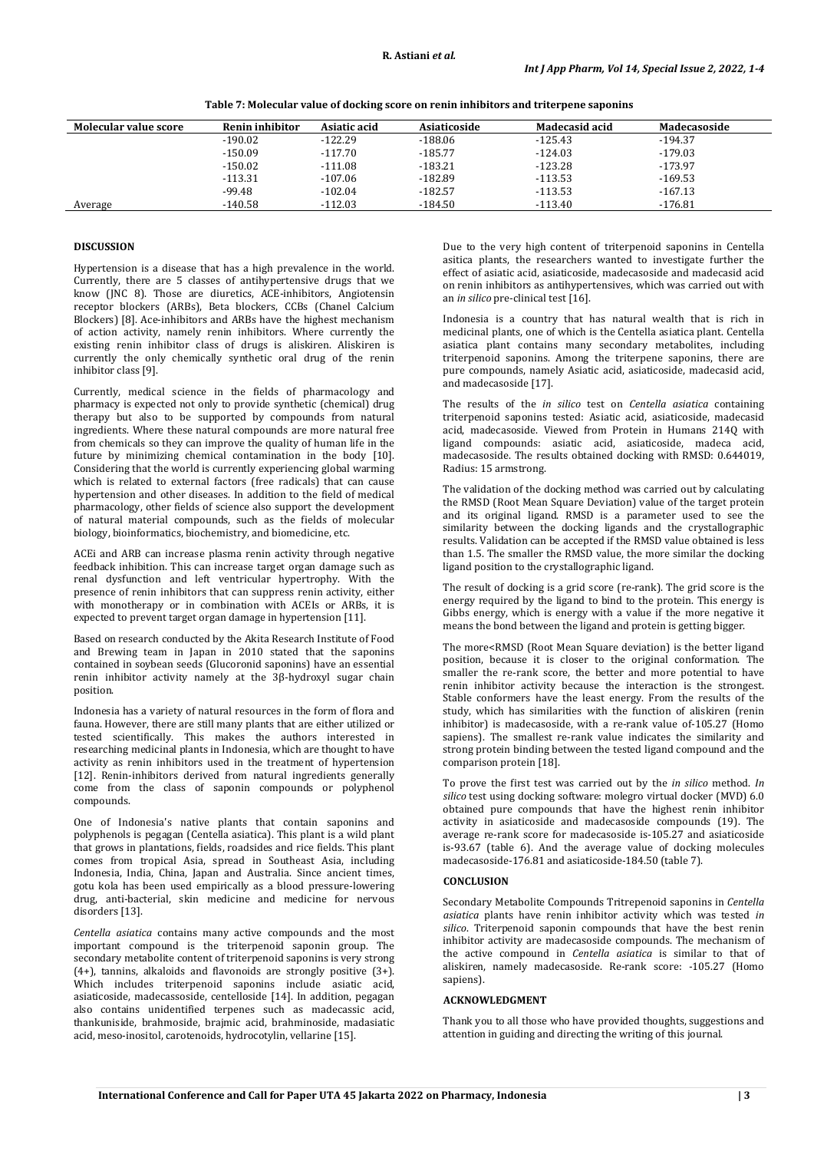| Molecular value score | <b>Renin inhibitor</b> | Asiatic acid | Asiaticoside | Madecasid acid | Madecasoside |
|-----------------------|------------------------|--------------|--------------|----------------|--------------|
|                       | $-190.02$              | $-122.29$    | $-188.06$    | $-125.43$      | $-194.37$    |
|                       | $-150.09$              | $-117.70$    | $-185.77$    | $-124.03$      | $-179.03$    |
|                       | $-150.02$              | $-111.08$    | $-183.21$    | $-123.28$      | $-173.97$    |
|                       | $-113.31$              | $-107.06$    | $-182.89$    | $-113.53$      | $-169.53$    |
|                       | $-99.48$               | $-102.04$    | $-182.57$    | $-113.53$      | $-167.13$    |
| Average               | $-140.58$              | $-112.03$    | $-184.50$    | $-113.40$      | $-176.81$    |

**Table 7: Molecular value of docking score on renin inhibitors and triterpene saponins**

### **DISCUSSION**

Hypertension is a disease that has a high prevalence in the world. Currently, there are 5 classes of antihypertensive drugs that we know (JNC 8). Those are diuretics, ACE-inhibitors, Angiotensin receptor blockers (ARBs), Beta blockers, CCBs (Chanel Calcium Blockers) [8]. Ace-inhibitors and ARBs have the highest mechanism of action activity, namely renin inhibitors. Where currently the existing renin inhibitor class of drugs is aliskiren. Aliskiren is currently the only chemically synthetic oral drug of the renin inhibitor class [9].

Currently, medical science in the fields of pharmacology and pharmacy is expected not only to provide synthetic (chemical) drug therapy but also to be supported by compounds from natural ingredients. Where these natural compounds are more natural free from chemicals so they can improve the quality of human life in the future by minimizing chemical contamination in the body [10]. Considering that the world is currently experiencing global warming which is related to external factors (free radicals) that can cause hypertension and other diseases. In addition to the field of medical pharmacology, other fields of science also support the development of natural material compounds, such as the fields of molecular biology, bioinformatics, biochemistry, and biomedicine, etc.

ACEi and ARB can increase plasma renin activity through negative feedback inhibition. This can increase target organ damage such as renal dysfunction and left ventricular hypertrophy. With the presence of renin inhibitors that can suppress renin activity, either with monotherapy or in combination with ACEIs or ARBs, it is expected to prevent target organ damage in hypertension [11].

Based on research conducted by the Akita Research Institute of Food and Brewing team in Japan in 2010 stated that the saponins contained in soybean seeds (Glucoronid saponins) have an essential renin inhibitor activity namely at the 3β-hydroxyl sugar chain position.

Indonesia has a variety of natural resources in the form of flora and fauna. However, there are still many plants that are either utilized or tested scientifically. This makes the authors interested in researching medicinal plants in Indonesia, which are thought to have activity as renin inhibitors used in the treatment of hypertension [12]. Renin-inhibitors derived from natural ingredients generally come from the class of saponin compounds or polyphenol compounds.

One of Indonesia's native plants that contain saponins and polyphenols is pegagan (Centella asiatica). This plant is a wild plant that grows in plantations, fields, roadsides and rice fields. This plant comes from tropical Asia, spread in Southeast Asia, including Indonesia, India, China, Japan and Australia. Since ancient times, gotu kola has been used empirically as a blood pressure-lowering drug, anti-bacterial, skin medicine and medicine for nervous disorders [13].

*Centella asiatica* contains many active compounds and the most important compound is the triterpenoid saponin group. The secondary metabolite content of triterpenoid saponins is very strong  $(4+)$ , tannins, alkaloids and flavonoids are strongly positive  $(3+)$ . Which includes triterpenoid saponins include asiatic acid, asiaticoside, madecassoside, centelloside [14]. In addition, pegagan also contains unidentified terpenes such as madecassic acid, thankuniside, brahmoside, brajmic acid, brahminoside, madasiatic acid, meso-inositol, carotenoids, hydrocotylin, vellarine [15].

Due to the very high content of triterpenoid saponins in Centella asitica plants, the researchers wanted to investigate further the effect of asiatic acid, asiaticoside, madecasoside and madecasid acid on renin inhibitors as antihypertensives, which was carried out with an *in silico* pre-clinical test [16].

Indonesia is a country that has natural wealth that is rich in medicinal plants, one of which is the Centella asiatica plant. Centella asiatica plant contains many secondary metabolites, including triterpenoid saponins. Among the triterpene saponins, there are pure compounds, namely Asiatic acid, asiaticoside, madecasid acid, and madecasoside [17].

The results of the *in silico* test on *Centella asiatica* containing triterpenoid saponins tested: Asiatic acid, asiaticoside, madecasid acid, madecasoside. Viewed from Protein in Humans 214Q with ligand compounds: asiatic acid, asiaticoside, madeca acid, madecasoside. The results obtained docking with RMSD: 0.644019, Radius: 15 armstrong.

The validation of the docking method was carried out by calculating the RMSD (Root Mean Square Deviation) value of the target protein and its original ligand. RMSD is a parameter used to see the similarity between the docking ligands and the crystallographic results. Validation can be accepted if the RMSD value obtained is less than 1.5. The smaller the RMSD value, the more similar the docking ligand position to the crystallographic ligand.

The result of docking is a grid score (re-rank). The grid score is the energy required by the ligand to bind to the protein. This energy is Gibbs energy, which is energy with a value if the more negative it means the bond between the ligand and protein is getting bigger.

The more<RMSD (Root Mean Square deviation) is the better ligand position, because it is closer to the original conformation. The smaller the re-rank score, the better and more potential to have renin inhibitor activity because the interaction is the strongest. Stable conformers have the least energy. From the results of the study, which has similarities with the function of aliskiren (renin inhibitor) is madecasoside, with a re-rank value of-105.27 (Homo sapiens). The smallest re-rank value indicates the similarity and strong protein binding between the tested ligand compound and the comparison protein [18].

To prove the first test was carried out by the *in silico* method. *In silico* test using docking software: molegro virtual docker (MVD) 6.0 obtained pure compounds that have the highest renin inhibitor activity in asiaticoside and madecasoside compounds (19). The average re-rank score for madecasoside is-105.27 and asiaticoside is-93.67 (table 6). And the average value of docking molecules madecasoside-176.81 and asiaticoside-184.50 (table 7).

#### **CONCLUSION**

Secondary Metabolite Compounds Tritrepenoid saponins in *Centella asiatica* plants have renin inhibitor activity which was tested *in silico*. Triterpenoid saponin compounds that have the best renin inhibitor activity are madecasoside compounds. The mechanism of the active compound in *Centella asiatica* is similar to that of aliskiren, namely madecasoside. Re-rank score: -105.27 (Homo sapiens).

#### **ACKNOWLEDGMENT**

Thank you to all those who have provided thoughts, suggestions and attention in guiding and directing the writing of this journal.